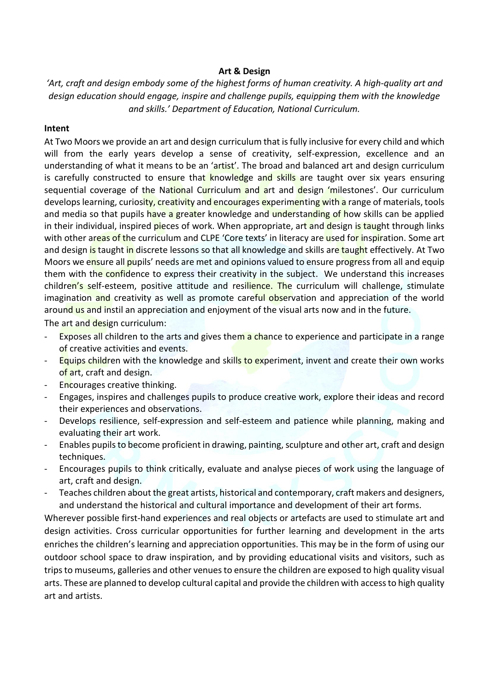## **Art & Design**

*'Art, craft and design embody some of the highest forms of human creativity. A high-quality art and design education should engage, inspire and challenge pupils, equipping them with the knowledge and skills.' Department of Education, National Curriculum.*

## **Intent**

At Two Moors we provide an art and design curriculum that is fully inclusive for every child and which will from the early years develop a sense of creativity, self-expression, excellence and an understanding of what it means to be an 'artist'. The broad and balanced art and design curriculum is carefully constructed to ensure that knowledge and skills are taught over six years ensuring sequential coverage of the National Curriculum and art and design 'milestones'. Our curriculum develops learning, curiosity, creativity and encourages experimenting with a range of materials, tools and media so that pupils have a greater knowledge and understanding of how skills can be applied in their individual, inspired pieces of work. When appropriate, art and design is taught through links with other areas of the curriculum and CLPE 'Core texts' in literacy are used for inspiration. Some art and design is taught in discrete lessons so that all knowledge and skills are taught effectively. At Two Moors we ensure all pupils' needs are met and opinions valued to ensure progress from all and equip them with the confidence to express their creativity in the subject. We understand this increases children's self-esteem, positive attitude and resilience. The curriculum will challenge, stimulate imagination and creativity as well as promote careful observation and appreciation of the world around us and instil an appreciation and enjoyment of the visual arts now and in the future.

The art and design curriculum:

- Exposes all children to the arts and gives them a chance to experience and participate in a range of creative activities and events.
- Equips children with the knowledge and skills to experiment, invent and create their own works of art, craft and design.
- Encourages creative thinking.
- Engages, inspires and challenges pupils to produce creative work, explore their ideas and record their experiences and observations.
- Develops resilience, self-expression and self-esteem and patience while planning, making and evaluating their art work.
- Enables pupils to become proficient in drawing, painting, sculpture and other art, craft and design techniques.
- Encourages pupils to think critically, evaluate and analyse pieces of work using the language of art, craft and design.
- Teaches children about the great artists, historical and contemporary, craft makers and designers, and understand the historical and cultural importance and development of their art forms.

Wherever possible first-hand experiences and real objects or artefacts are used to stimulate art and design activities. Cross curricular opportunities for further learning and development in the arts enriches the children's learning and appreciation opportunities. This may be in the form of using our outdoor school space to draw inspiration, and by providing educational visits and visitors, such as trips to museums, galleries and other venues to ensure the children are exposed to high quality visual arts. These are planned to develop cultural capital and provide the children with access to high quality art and artists.